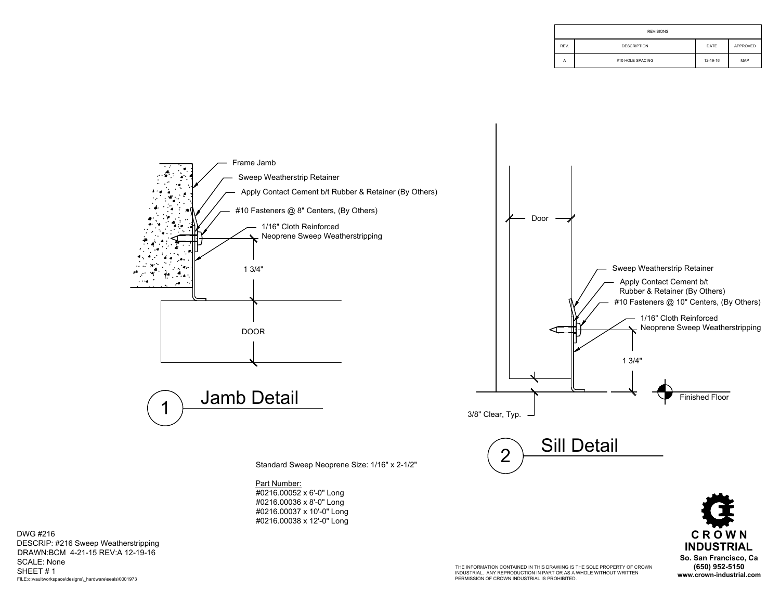| <b>REVISIONS</b> |                    |          |          |
|------------------|--------------------|----------|----------|
| REV.             | <b>DESCRIPTION</b> | DATE     | APPROVED |
| A                | #10 HOLE SPACING   | 12-19-16 | MAP      |